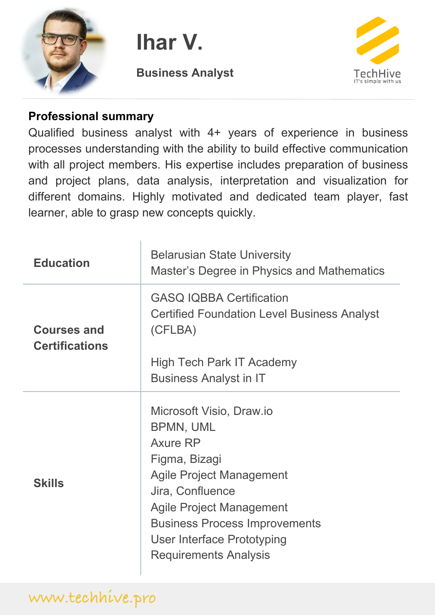

**Ihar V.**

**Business Analyst**



#### **Professional summary**

Qualified business analyst with 4+ years of experience in business processes understanding with the ability to build effective communication with all project members. His expertise includes preparation of business and project plans, data analysis, interpretation and visualization for different domains. Highly motivated and dedicated team player, fast learner, able to grasp new concepts quickly.

| <b>Education</b>                            | <b>Belarusian State University</b><br>Master's Degree in Physics and Mathematics                                                                                                                                                                                                 |
|---------------------------------------------|----------------------------------------------------------------------------------------------------------------------------------------------------------------------------------------------------------------------------------------------------------------------------------|
| <b>Courses and</b><br><b>Certifications</b> | <b>GASQ IQBBA Certification</b><br><b>Certified Foundation Level Business Analyst</b><br>(CFLBA)                                                                                                                                                                                 |
|                                             | High Tech Park IT Academy<br><b>Business Analyst in IT</b>                                                                                                                                                                                                                       |
| <b>Skills</b>                               | Microsoft Visio, Draw.io<br><b>BPMN, UML</b><br><b>Axure RP</b><br>Figma, Bizagi<br><b>Agile Project Management</b><br>Jira, Confluence<br><b>Agile Project Management</b><br><b>Business Process Improvements</b><br>User Interface Prototyping<br><b>Requirements Analysis</b> |

# **www.techhive.pro**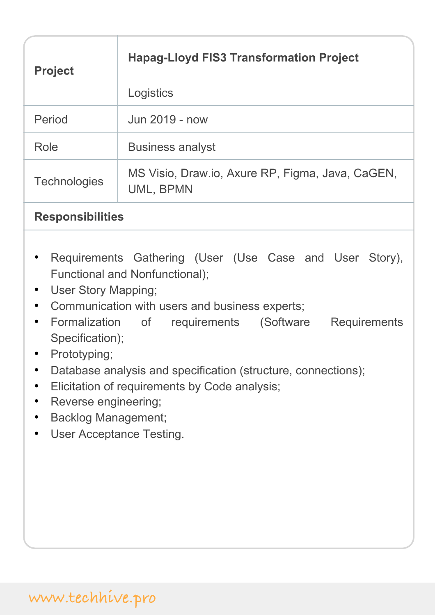| <b>Project</b>      | <b>Hapag-Lloyd FIS3 Transformation Project</b>                |
|---------------------|---------------------------------------------------------------|
|                     | Logistics                                                     |
| Period              | Jun 2019 - now                                                |
| Role                | <b>Business analyst</b>                                       |
| <b>Technologies</b> | MS Visio, Draw.io, Axure RP, Figma, Java, CaGEN,<br>UML, BPMN |

### **Responsibilities**

- Requirements Gathering (User (Use Case and User Story), Functional and Nonfunctional);
- User Story Mapping;
- Communication with users and business experts;
- Formalization of requirements (Software Requirements Specification);
- Prototyping;
- Database analysis and specification (structure, connections);
- Elicitation of requirements by Code analysis;
- Reverse engineering;
- Backlog Management;
- User Acceptance Testing.

## **www.techhive.pro**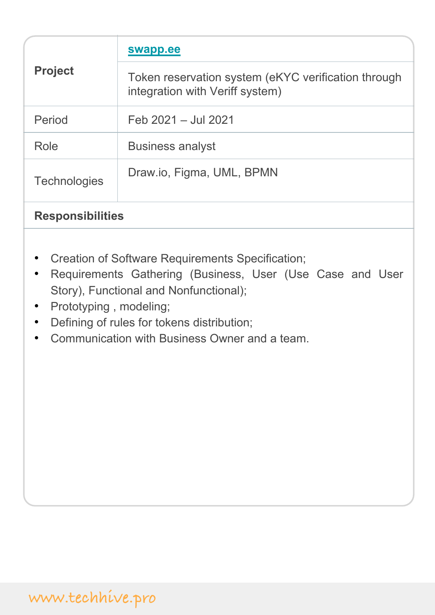| <b>Project</b>          | swapp.ee                                                                               |
|-------------------------|----------------------------------------------------------------------------------------|
|                         | Token reservation system (eKYC verification through<br>integration with Veriff system) |
| Period                  | Feb 2021 - Jul 2021                                                                    |
| Role                    | <b>Business analyst</b>                                                                |
| <b>Technologies</b>     | Draw.io, Figma, UML, BPMN                                                              |
| <b>Responsibilities</b> |                                                                                        |

- Creation of Software Requirements Specification;
- Requirements Gathering (Business, User (Use Case and User Story), Functional and Nonfunctional);
- Prototyping , modeling;
- Defining of rules for tokens distribution;
- Communication with Business Owner and a team.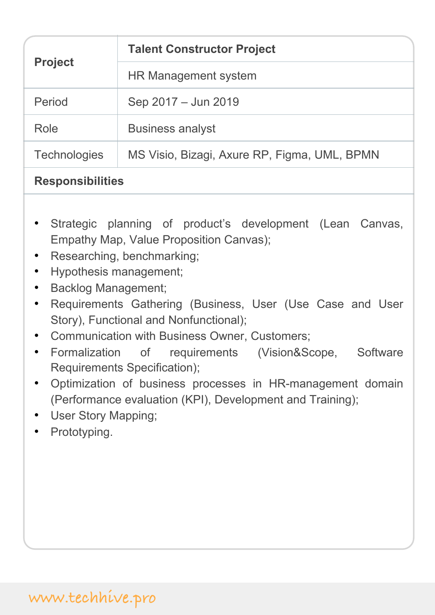| <b>Project</b>      | <b>Talent Constructor Project</b>            |
|---------------------|----------------------------------------------|
|                     | HR Management system                         |
| Period              | Sep 2017 - Jun 2019                          |
| Role                | <b>Business analyst</b>                      |
| <b>Technologies</b> | MS Visio, Bizagi, Axure RP, Figma, UML, BPMN |
|                     |                                              |

### **Responsibilities**

- Strategic planning of product's development (Lean Canvas, Empathy Map, Value Proposition Canvas);
- Researching, benchmarking;
- Hypothesis management;
- Backlog Management;
- Requirements Gathering (Business, User (Use Case and User Story), Functional and Nonfunctional);
- Communication with Business Owner, Customers;
- Formalization of requirements (Vision&Scope, Software Requirements Specification);
- Optimization of business processes in HR-management domain (Performance evaluation (KPI), Development and Training);
- User Story Mapping;
- Prototyping.